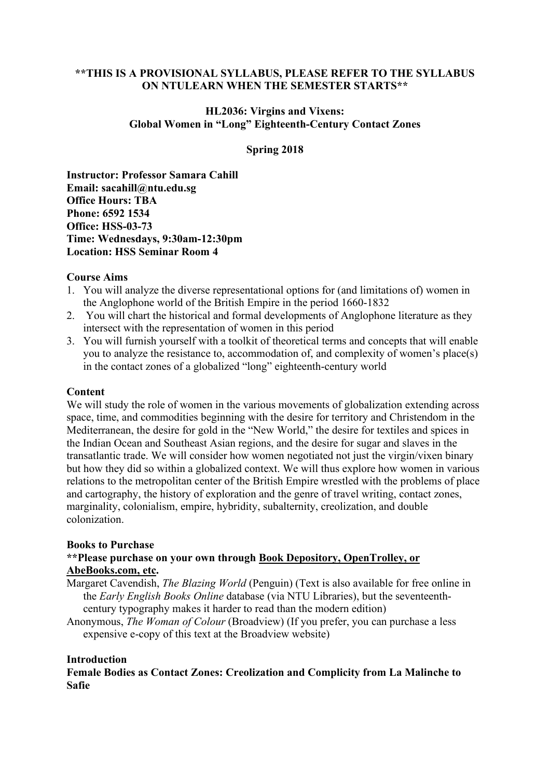## **\*\*THIS IS A PROVISIONAL SYLLABUS, PLEASE REFER TO THE SYLLABUS ON NTULEARN WHEN THE SEMESTER STARTS\*\***

## **HL2036: Virgins and Vixens: Global Women in "Long" Eighteenth-Century Contact Zones**

### **Spring 2018**

**Instructor: Professor Samara Cahill Email: sacahill@ntu.edu.sg Office Hours: TBA Phone: 6592 1534 Office: HSS-03-73 Time: Wednesdays, 9:30am-12:30pm Location: HSS Seminar Room 4**

#### **Course Aims**

- 1. You will analyze the diverse representational options for (and limitations of) women in the Anglophone world of the British Empire in the period 1660-1832
- 2. You will chart the historical and formal developments of Anglophone literature as they intersect with the representation of women in this period
- 3. You will furnish yourself with a toolkit of theoretical terms and concepts that will enable you to analyze the resistance to, accommodation of, and complexity of women's place(s) in the contact zones of a globalized "long" eighteenth-century world

#### **Content**

We will study the role of women in the various movements of globalization extending across space, time, and commodities beginning with the desire for territory and Christendom in the Mediterranean, the desire for gold in the "New World," the desire for textiles and spices in the Indian Ocean and Southeast Asian regions, and the desire for sugar and slaves in the transatlantic trade. We will consider how women negotiated not just the virgin/vixen binary but how they did so within a globalized context. We will thus explore how women in various relations to the metropolitan center of the British Empire wrestled with the problems of place and cartography, the history of exploration and the genre of travel writing, contact zones, marginality, colonialism, empire, hybridity, subalternity, creolization, and double colonization.

#### **Books to Purchase**

# **\*\*Please purchase on your own through Book Depository, OpenTrolley, or AbeBooks.com, etc.**

- Margaret Cavendish, *The Blazing World* (Penguin) (Text is also available for free online in the *Early English Books Online* database (via NTU Libraries), but the seventeenthcentury typography makes it harder to read than the modern edition)
- Anonymous, *The Woman of Colour* (Broadview) (If you prefer, you can purchase a less expensive e-copy of this text at the Broadview website)

#### **Introduction**

**Female Bodies as Contact Zones: Creolization and Complicity from La Malinche to Safie**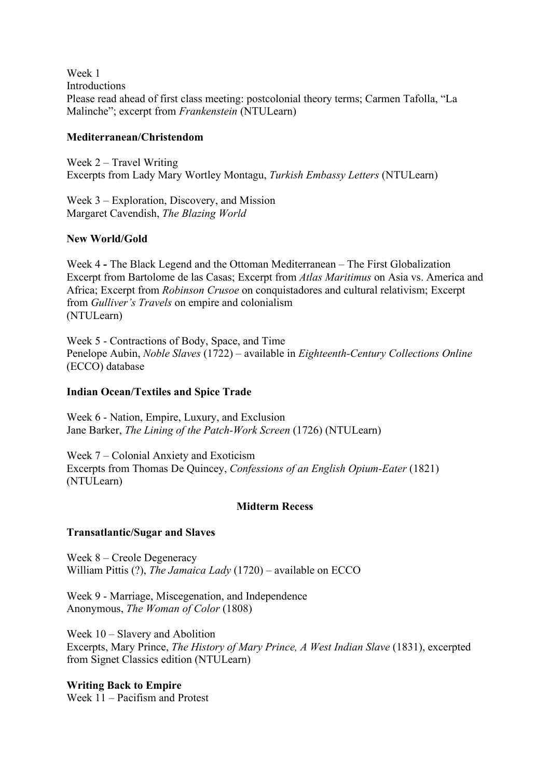Week 1 Introductions Please read ahead of first class meeting: postcolonial theory terms; Carmen Tafolla, "La Malinche"; excerpt from *Frankenstein* (NTULearn)

## **Mediterranean/Christendom**

Week 2 – Travel Writing Excerpts from Lady Mary Wortley Montagu, *Turkish Embassy Letters* (NTULearn)

Week 3 – Exploration, Discovery, and Mission Margaret Cavendish, *The Blazing World*

### **New World/Gold**

Week 4 **-** The Black Legend and the Ottoman Mediterranean – The First Globalization Excerpt from Bartolome de las Casas; Excerpt from *Atlas Maritimus* on Asia vs. America and Africa; Excerpt from *Robinson Crusoe* on conquistadores and cultural relativism; Excerpt from *Gulliver's Travels* on empire and colonialism (NTULearn)

Week 5 - Contractions of Body, Space, and Time Penelope Aubin, *Noble Slaves* (1722) – available in *Eighteenth-Century Collections Online* (ECCO) database

### **Indian Ocean/Textiles and Spice Trade**

Week 6 - Nation, Empire, Luxury, and Exclusion Jane Barker, *The Lining of the Patch-Work Screen* (1726) (NTULearn)

Week 7 – Colonial Anxiety and Exoticism Excerpts from Thomas De Quincey, *Confessions of an English Opium-Eater* (1821) (NTULearn)

### **Midterm Recess**

### **Transatlantic/Sugar and Slaves**

Week 8 – Creole Degeneracy William Pittis (?), *The Jamaica Lady* (1720) – available on ECCO

Week 9 - Marriage, Miscegenation, and Independence Anonymous, *The Woman of Color* (1808)

Week 10 – Slavery and Abolition Excerpts, Mary Prince, *The History of Mary Prince, A West Indian Slave* (1831), excerpted from Signet Classics edition (NTULearn)

**Writing Back to Empire**  Week 11 – Pacifism and Protest